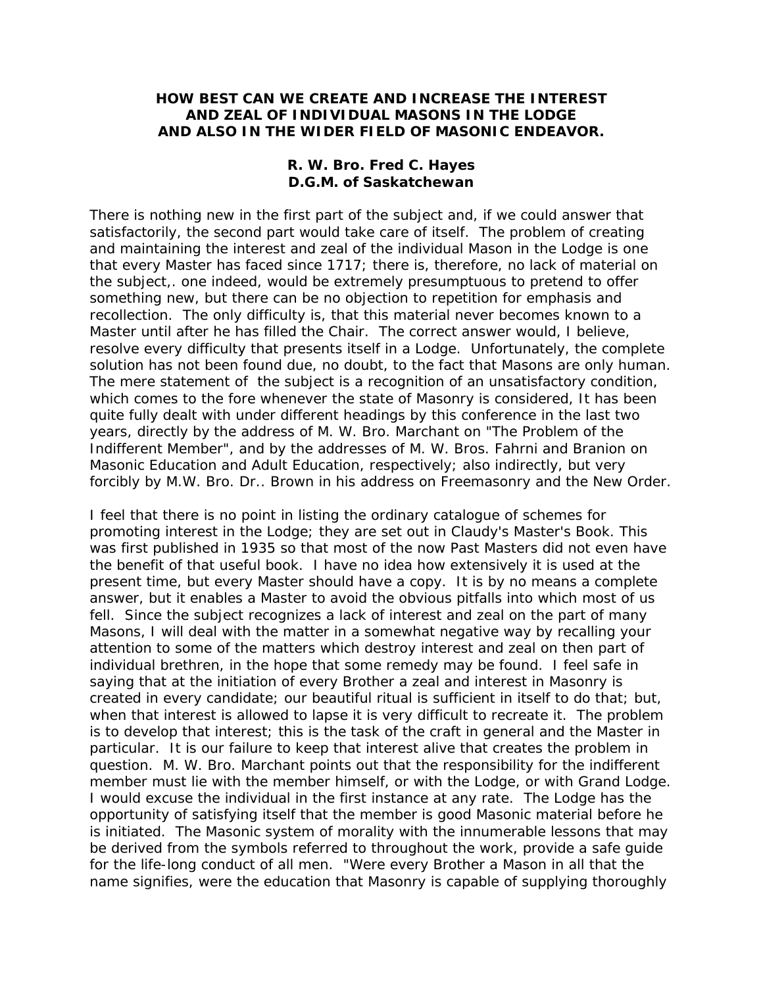## **HOW BEST CAN WE CREATE AND INCREASE THE INTEREST AND ZEAL OF INDIVIDUAL MASONS IN THE LODGE AND ALSO IN THE WIDER FIELD OF MASONIC ENDEAVOR.**

## **R. W. Bro. Fred C. Hayes D.G.M. of Saskatchewan**

There is nothing new in the first part of the subject and, if we could answer that satisfactorily, the second part would take care of itself. The problem of creating and maintaining the interest and zeal of the individual Mason in the Lodge is one that every Master has faced since 1717; there is, therefore, no lack of material on the subject,. one indeed, would be extremely presumptuous to pretend to offer something new, but there can be no objection to repetition for emphasis and recollection. The only difficulty is, that this material never becomes known to a Master until after he has filled the Chair. The correct answer would, I believe, resolve every difficulty that presents itself in a Lodge. Unfortunately, the complete solution has not been found due, no doubt, to the fact that Masons are only human. The mere statement of the subject is a recognition of an unsatisfactory condition, which comes to the fore whenever the state of Masonry is considered, It has been quite fully dealt with under different headings by this conference in the last two years, directly by the address of M. W. Bro. Marchant on "The Problem of the Indifferent Member", and by the addresses of M. W. Bros. Fahrni and Branion on Masonic Education and Adult Education, respectively; also indirectly, but very forcibly by M.W. Bro. Dr.. Brown in his address on Freemasonry and the New Order.

I feel that there is no point in listing the ordinary catalogue of schemes for promoting interest in the Lodge; they are set out in Claudy's Master's Book. This was first published in 1935 so that most of the now Past Masters did not even have the benefit of that useful book. I have no idea how extensively it is used at the present time, but every Master should have a copy. It is by no means a complete answer, but it enables a Master to avoid the obvious pitfalls into which most of us fell. Since the subject recognizes a lack of interest and zeal on the part of many Masons, I will deal with the matter in a somewhat negative way by recalling your attention to some of the matters which destroy interest and zeal on then part of individual brethren, in the hope that some remedy may be found. I feel safe in saying that at the initiation of every Brother a zeal and interest in Masonry is created in every candidate; our beautiful ritual is sufficient in itself to do that; but, when that interest is allowed to lapse it is very difficult to recreate it. The problem is to develop that interest; this is the task of the craft in general and the Master in particular. It is our failure to keep that interest alive that creates the problem in question. M. W. Bro. Marchant points out that the responsibility for the indifferent member must lie with the member himself, or with the Lodge, or with Grand Lodge. I would excuse the individual in the first instance at any rate. The Lodge has the opportunity of satisfying itself that the member is good Masonic material before he is initiated. The Masonic system of morality with the innumerable lessons that may be derived from the symbols referred to throughout the work, provide a safe guide for the life-long conduct of all men. "Were every Brother a Mason in all that the name signifies, were the education that Masonry is capable of supplying thoroughly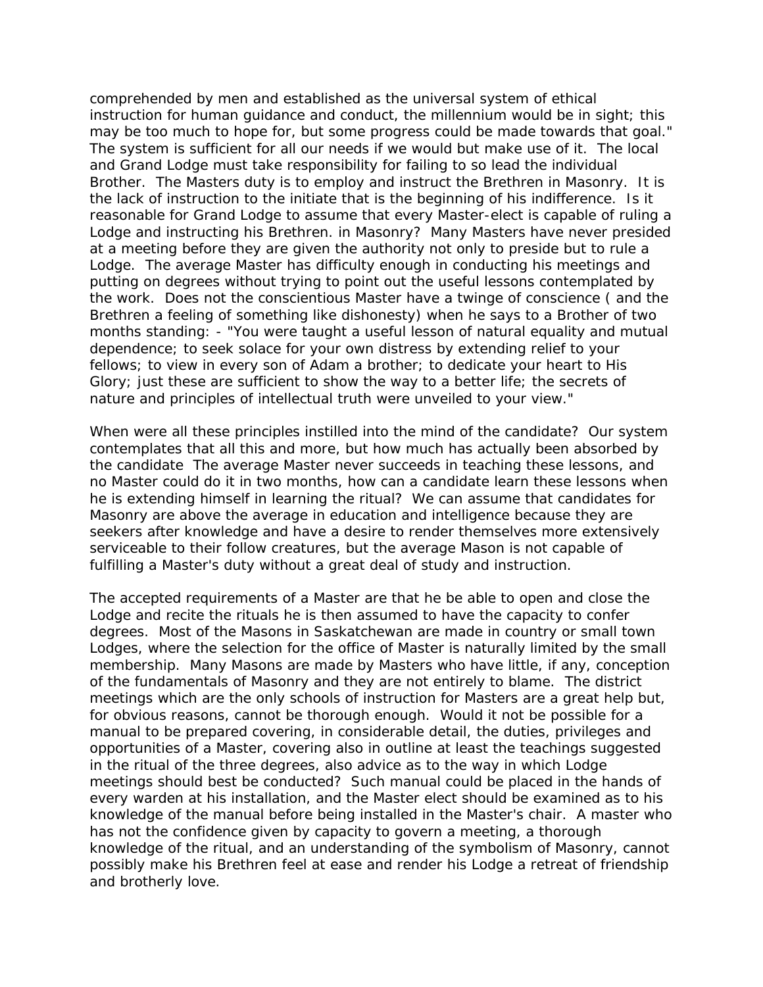comprehended by men and established as the universal system of ethical instruction for human guidance and conduct, the millennium would be in sight; this may be too much to hope for, but some progress could be made towards that goal." The system is sufficient for all our needs if we would but make use of it. The local and Grand Lodge must take responsibility for failing to so lead the individual Brother. The Masters duty is to employ and instruct the Brethren in Masonry. It is the lack of instruction to the initiate that is the beginning of his indifference. Is it reasonable for Grand Lodge to assume that every Master-elect is capable of ruling a Lodge and instructing his Brethren. in Masonry? Many Masters have never presided at a meeting before they are given the authority not only to preside but to rule a Lodge. The average Master has difficulty enough in conducting his meetings and putting on degrees without trying to point out the useful lessons contemplated by the work. Does not the conscientious Master have a twinge of conscience ( and the Brethren a feeling of something like dishonesty) when he says to a Brother of two months standing: - "You were taught a useful lesson of natural equality and mutual dependence; to seek solace for your own distress by extending relief to your fellows; to view in every son of Adam a brother; to dedicate your heart to His Glory; just these are sufficient to show the way to a better life; the secrets of nature and principles of intellectual truth were unveiled to your view."

When were all these principles instilled into the mind of the candidate? Our system contemplates that all this and more, but how much has actually been absorbed by the candidate The average Master never succeeds in teaching these lessons, and no Master could do it in two months, how can a candidate learn these lessons when he is extending himself in learning the ritual? We can assume that candidates for Masonry are above the average in education and intelligence because they are seekers after knowledge and have a desire to render themselves more extensively serviceable to their follow creatures, but the average Mason is not capable of fulfilling a Master's duty without a great deal of study and instruction.

The accepted requirements of a Master are that he be able to open and close the Lodge and recite the rituals he is then assumed to have the capacity to confer degrees. Most of the Masons in Saskatchewan are made in country or small town Lodges, where the selection for the office of Master is naturally limited by the small membership. Many Masons are made by Masters who have little, if any, conception of the fundamentals of Masonry and they are not entirely to blame. The district meetings which are the only schools of instruction for Masters are a great help but, for obvious reasons, cannot be thorough enough. Would it not be possible for a manual to be prepared covering, in considerable detail, the duties, privileges and opportunities of a Master, covering also in outline at least the teachings suggested in the ritual of the three degrees, also advice as to the way in which Lodge meetings should best be conducted? Such manual could be placed in the hands of every warden at his installation, and the Master elect should be examined as to his knowledge of the manual before being installed in the Master's chair. A master who has not the confidence given by capacity to govern a meeting, a thorough knowledge of the ritual, and an understanding of the symbolism of Masonry, cannot possibly make his Brethren feel at ease and render his Lodge a retreat of friendship and brotherly love.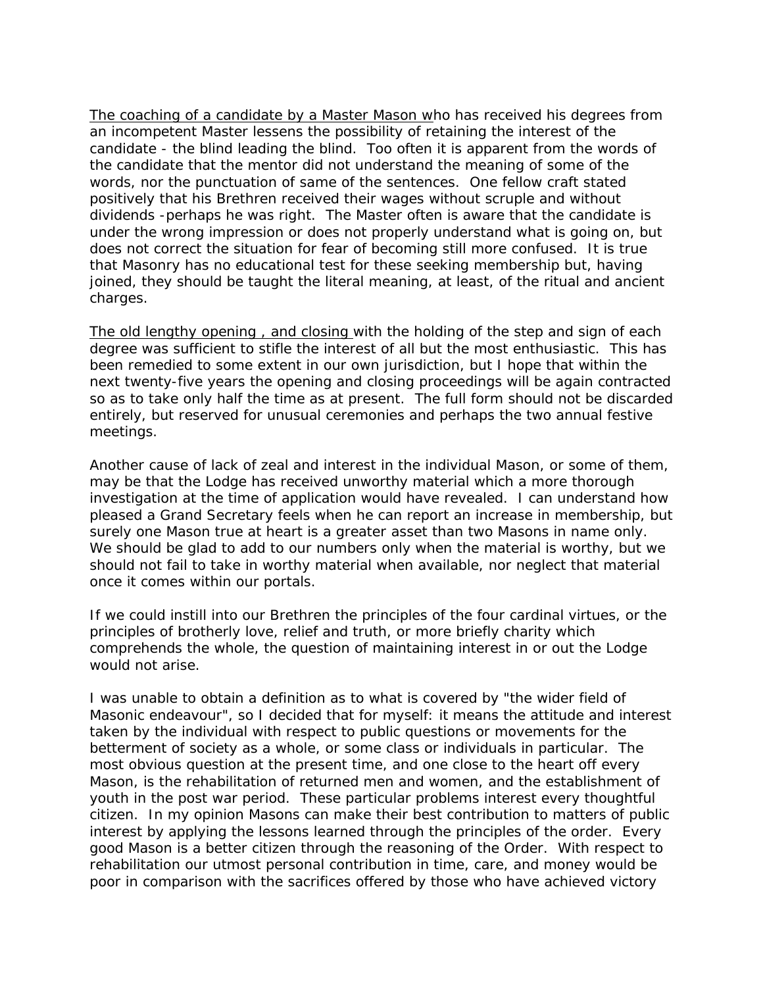The coaching of a candidate by a Master Mason who has received his degrees from an incompetent Master lessens the possibility of retaining the interest of the candidate - the blind leading the blind. Too often it is apparent from the words of the candidate that the mentor did not understand the meaning of some of the words, nor the punctuation of same of the sentences. One fellow craft stated positively that his Brethren received their wages without scruple and without dividends -perhaps he was right. The Master often is aware that the candidate is under the wrong impression or does not properly understand what is going on, but does not correct the situation for fear of becoming still more confused. It is true that Masonry has no educational test for these seeking membership but, having joined, they should be taught the literal meaning, at least, of the ritual and ancient charges.

The old lengthy opening , and closing with the holding of the step and sign of each degree was sufficient to stifle the interest of all but the most enthusiastic. This has been remedied to some extent in our own jurisdiction, but I hope that within the next twenty-five years the opening and closing proceedings will be again contracted so as to take only half the time as at present. The full form should not be discarded entirely, but reserved for unusual ceremonies and perhaps the two annual festive meetings.

Another cause of lack of zeal and interest in the individual Mason, or some of them, may be that the Lodge has received unworthy material which a more thorough investigation at the time of application would have revealed. I can understand how pleased a Grand Secretary feels when he can report an increase in membership, but surely one Mason true at heart is a greater asset than two Masons in name only. We should be glad to add to our numbers only when the material is worthy, but we should not fail to take in worthy material when available, nor neglect that material once it comes within our portals.

If we could instill into our Brethren the principles of the four cardinal virtues, or the principles of brotherly love, relief and truth, or more briefly charity which comprehends the whole, the question of maintaining interest in or out the Lodge would not arise.

I was unable to obtain a definition as to what is covered by "the wider field of Masonic endeavour", so I decided that for myself: it means the attitude and interest taken by the individual with respect to public questions or movements for the betterment of society as a whole, or some class or individuals in particular. The most obvious question at the present time, and one close to the heart off every Mason, is the rehabilitation of returned men and women, and the establishment of youth in the post war period. These particular problems interest every thoughtful citizen. In my opinion Masons can make their best contribution to matters of public interest by applying the lessons learned through the principles of the order. Every good Mason is a better citizen through the reasoning of the Order. With respect to rehabilitation our utmost personal contribution in time, care, and money would be poor in comparison with the sacrifices offered by those who have achieved victory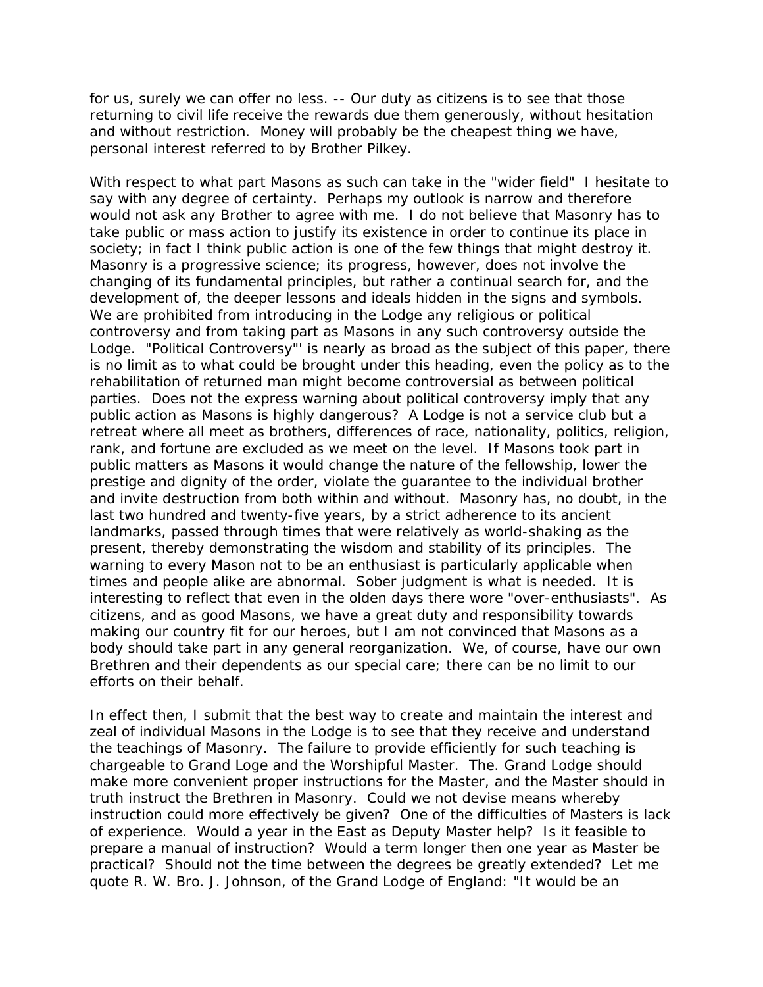for us, surely we can offer no less. -- Our duty as citizens is to see that those returning to civil life receive the rewards due them generously, without hesitation and without restriction. Money will probably be the cheapest thing we have, personal interest referred to by Brother Pilkey.

With respect to what part Masons as such can take in the "wider field" I hesitate to say with any degree of certainty. Perhaps my outlook is narrow and therefore would not ask any Brother to agree with me. I do not believe that Masonry has to take public or mass action to justify its existence in order to continue its place in society; in fact I think public action is one of the few things that might destroy it. Masonry is a progressive science; its progress, however, does not involve the changing of its fundamental principles, but rather a continual search for, and the development of, the deeper lessons and ideals hidden in the signs and symbols. We are prohibited from introducing in the Lodge any religious or political controversy and from taking part as Masons in any such controversy outside the Lodge. "Political Controversy"' is nearly as broad as the subject of this paper, there is no limit as to what could be brought under this heading, even the policy as to the rehabilitation of returned man might become controversial as between political parties. Does not the express warning about political controversy imply that any public action as Masons is highly dangerous? A Lodge is not a service club but a retreat where all meet as brothers, differences of race, nationality, politics, religion, rank, and fortune are excluded as we meet on the level. If Masons took part in public matters as Masons it would change the nature of the fellowship, lower the prestige and dignity of the order, violate the guarantee to the individual brother and invite destruction from both within and without. Masonry has, no doubt, in the last two hundred and twenty-five years, by a strict adherence to its ancient landmarks, passed through times that were relatively as world-shaking as the present, thereby demonstrating the wisdom and stability of its principles. The warning to every Mason not to be an enthusiast is particularly applicable when times and people alike are abnormal. Sober judgment is what is needed. It is interesting to reflect that even in the olden days there wore "over-enthusiasts". As citizens, and as good Masons, we have a great duty and responsibility towards making our country fit for our heroes, but I am not convinced that Masons as a body should take part in any general reorganization. We, of course, have our own Brethren and their dependents as our special care; there can be no limit to our efforts on their behalf.

In effect then, I submit that the best way to create and maintain the interest and zeal of individual Masons in the Lodge is to see that they receive and understand the teachings of Masonry. The failure to provide efficiently for such teaching is chargeable to Grand Loge and the Worshipful Master. The. Grand Lodge should make more convenient proper instructions for the Master, and the Master should in truth instruct the Brethren in Masonry. Could we not devise means whereby instruction could more effectively be given? One of the difficulties of Masters is lack of experience. Would a year in the East as Deputy Master help? Is it feasible to prepare a manual of instruction? Would a term longer then one year as Master be practical? Should not the time between the degrees be greatly extended? Let me quote R. W. Bro. J. Johnson, of the Grand Lodge of England: "It would be an